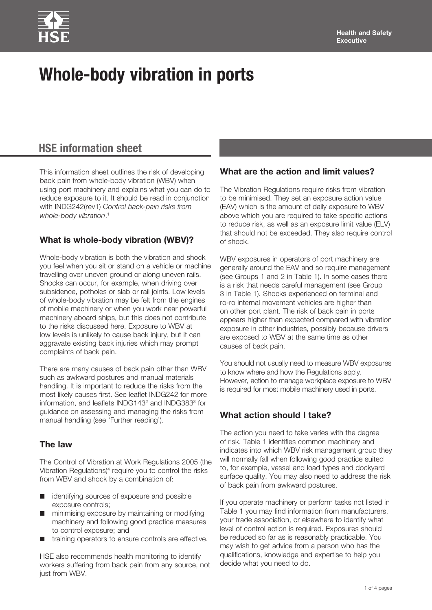# **HSE information sheet**

This information sheet outlines the risk of developing back pain from whole-body vibration (WBV) when using port machinery and explains what you can do to reduce exposure to it. It should be read in conjunction with INDG242(rev1) *Control back-pain risks from whole-body vibration*. 1

## **What is whole-body vibration (WBV)?**

Whole-body vibration is both the vibration and shock you feel when you sit or stand on a vehicle or machine travelling over uneven ground or along uneven rails. Shocks can occur, for example, when driving over subsidence, potholes or slab or rail joints. Low levels of whole-body vibration may be felt from the engines of mobile machinery or when you work near powerful machinery aboard ships, but this does not contribute to the risks discussed here. Exposure to WBV at low levels is unlikely to cause back injury, but it can aggravate existing back injuries which may prompt complaints of back pain.

There are many causes of back pain other than WBV such as awkward postures and manual materials handling. It is important to reduce the risks from the most likely causes first. See leaflet INDG242 for more information, and leaflets INDG143<sup>2</sup> and INDG383<sup>3</sup> for guidance on assessing and managing the risks from manual handling (see 'Further reading').

## **The law**

The Control of Vibration at Work Regulations 2005 (the Vibration Regulations)<sup>4</sup> require you to control the risks from WBV and shock by a combination of:

- $\blacksquare$  identifying sources of exposure and possible exposure controls;
- minimising exposure by maintaining or modifying machinery and following good practice measures to control exposure; and
- $\blacksquare$  training operators to ensure controls are effective.

HSE also recommends health monitoring to identify workers suffering from back pain from any source, not just from WBV.

## **What are the action and limit values?**

The Vibration Regulations require risks from vibration to be minimised. They set an exposure action value (EAV) which is the amount of daily exposure to WBV above which you are required to take specific actions to reduce risk, as well as an exposure limit value (ELV) that should not be exceeded. They also require control of shock.

WBV exposures in operators of port machinery are generally around the EAV and so require management (see Groups 1 and 2 in Table 1). In some cases there is a risk that needs careful management (see Group 3 in Table 1). Shocks experienced on terminal and ro-ro internal movement vehicles are higher than on other port plant. The risk of back pain in ports appears higher than expected compared with vibration exposure in other industries, possibly because drivers are exposed to WBV at the same time as other causes of back pain.

You should not usually need to measure WBV exposures to know where and how the Regulations apply. However, action to manage workplace exposure to WBV is required for most mobile machinery used in ports.

## **What action should I take?**

The action you need to take varies with the degree of risk. Table 1 identifies common machinery and indicates into which WBV risk management group they will normally fall when following good practice suited to, for example, vessel and load types and dockyard surface quality. You may also need to address the risk of back pain from awkward postures.

If you operate machinery or perform tasks not listed in Table 1 you may find information from manufacturers, your trade association, or elsewhere to identify what level of control action is required. Exposures should be reduced so far as is reasonably practicable. You may wish to get advice from a person who has the qualifications, knowledge and expertise to help you decide what you need to do.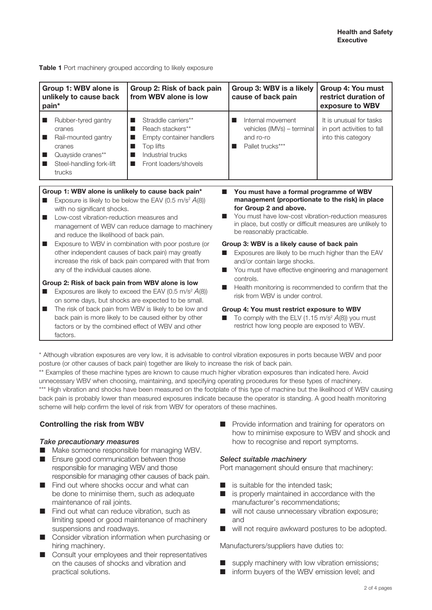**Table 1** Port machinery grouped according to likely exposure

| Group 1: WBV alone is<br>unlikely to cause back<br>pain*                                                                                                                                                                                                                                                                                                                                                                                                                                                                                         | Group 2: Risk of back pain<br>from WBV alone is low                                                                                      | Group 3: WBV is a likely<br>cause of back pain                                                                                                                                                                                                                                                                                                                                                                                                                      | <b>Group 4: You must</b><br>restrict duration of<br>exposure to WBV         |
|--------------------------------------------------------------------------------------------------------------------------------------------------------------------------------------------------------------------------------------------------------------------------------------------------------------------------------------------------------------------------------------------------------------------------------------------------------------------------------------------------------------------------------------------------|------------------------------------------------------------------------------------------------------------------------------------------|---------------------------------------------------------------------------------------------------------------------------------------------------------------------------------------------------------------------------------------------------------------------------------------------------------------------------------------------------------------------------------------------------------------------------------------------------------------------|-----------------------------------------------------------------------------|
| Rubber-tyred gantry<br>▄<br>cranes<br>Rail-mounted gantry<br>ш<br>cranes<br>Quayside cranes**<br>ш<br>Steel-handling fork-lift<br>trucks                                                                                                                                                                                                                                                                                                                                                                                                         | Straddle carriers**<br>Reach stackers**<br>■<br>Empty container handlers<br>ш<br>Top lifts<br>Industrial trucks<br>Front loaders/shovels | Internal movement<br>▀<br>vehicles (IMVs) - terminal<br>and ro-ro<br>Pallet trucks***<br>▀                                                                                                                                                                                                                                                                                                                                                                          | It is unusual for tasks<br>in port activities to fall<br>into this category |
| Group 1: WBV alone is unlikely to cause back pain*<br>m.<br>Exposure is likely to be below the EAV (0.5 m/s <sup>2</sup> $A(8)$ )<br>▄<br>with no significant shocks.<br>Low-cost vibration-reduction measures and<br>ш<br>management of WBV can reduce damage to machinery<br>and reduce the likelihood of back pain.<br>Exposure to WBV in combination with poor posture (or<br>ш<br>other independent causes of back pain) may greatly<br>increase the risk of back pain compared with that from<br>any of the individual causes alone.<br>m. |                                                                                                                                          | You must have a formal programme of WBV<br>management (proportionate to the risk) in place<br>for Group 2 and above.<br>You must have low-cost vibration-reduction measures<br>in place, but costly or difficult measures are unlikely to<br>be reasonably practicable.<br>Group 3: WBV is a likely cause of back pain<br>Exposures are likely to be much higher than the EAV<br>and/or contain large shocks.<br>You must have effective engineering and management |                                                                             |
| Group 2: Risk of back pain from WBV alone is low<br>Exposures are likely to exceed the EAV (0.5 m/s <sup>2</sup> $A(8)$ )<br>▄<br>on some days, but shocks are expected to be small.<br>The risk of back pain from WBV is likely to be low and<br>ш<br>back pain is more likely to be caused either by other<br>factors or by the combined effect of WBV and other<br>factors                                                                                                                                                                    |                                                                                                                                          | controls.<br>Health monitoring is recommended to confirm that the<br>risk from WBV is under control.<br>Group 4: You must restrict exposure to WBV<br>To comply with the ELV (1.15 m/s <sup>2</sup> $A(8)$ ) you must<br>restrict how long people are exposed to WBV.                                                                                                                                                                                               |                                                                             |

\* Although vibration exposures are very low, it is advisable to control vibration exposures in ports because WBV and poor posture (or other causes of back pain) together are likely to increase the risk of back pain.

\*\* Examples of these machine types are known to cause much higher vibration exposures than indicated here. Avoid unnecessary WBV when choosing, maintaining, and specifying operating procedures for these types of machinery. \*\*\* High vibration and shocks have been measured on the footplate of this type of machine but the likelihood of WBV causing back pain is probably lower than measured exposures indicate because the operator is standing. A good health monitoring scheme will help confirm the level of risk from WBV for operators of these machines.

### **Controlling the risk from WBV**

#### *Take precautionary measures*

- $\blacksquare$  Make someone responsible for managing WBV.
- $\blacksquare$  Ensure good communication between those responsible for managing WBV and those responsible for managing other causes of back pain.
- $\blacksquare$  Find out where shocks occur and what can be done to minimise them, such as adequate maintenance of rail joints.
- Find out what can reduce vibration, such as limiting speed or good maintenance of machinery suspensions and roadways.
- **n** Consider vibration information when purchasing or hiring machinery.
- **n** Consult your employees and their representatives on the causes of shocks and vibration and practical solutions.

**n** Provide information and training for operators on how to minimise exposure to WBV and shock and how to recognise and report symptoms.

#### *Select suitable machinery*

Port management should ensure that machinery:

- $\blacksquare$  is suitable for the intended task;
- $\blacksquare$  is properly maintained in accordance with the manufacturer's recommendations;
- $\blacksquare$  will not cause unnecessary vibration exposure; and
- $\blacksquare$  will not require awkward postures to be adopted.

Manufacturers/suppliers have duties to:

- $\blacksquare$  supply machinery with low vibration emissions:
- $\blacksquare$  inform buyers of the WBV emission level; and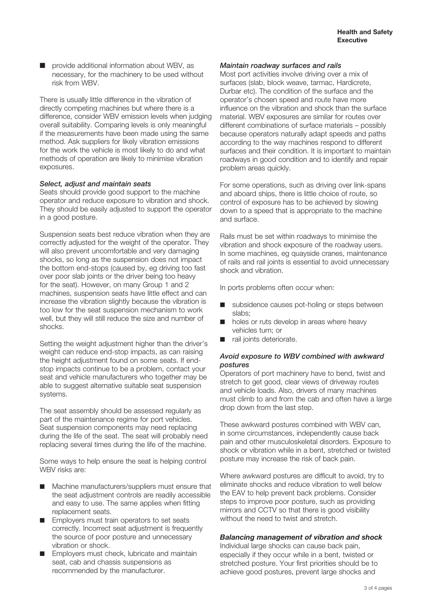$\blacksquare$  provide additional information about WBV, as necessary, for the machinery to be used without risk from WBV.

There is usually little difference in the vibration of directly competing machines but where there is a difference, consider WBV emission levels when judging overall suitability. Comparing levels is only meaningful if the measurements have been made using the same method. Ask suppliers for likely vibration emissions for the work the vehicle is most likely to do and what methods of operation are likely to minimise vibration exposures.

#### *Select, adjust and maintain seats*

Seats should provide good support to the machine operator and reduce exposure to vibration and shock. They should be easily adjusted to support the operator in a good posture.

Suspension seats best reduce vibration when they are correctly adjusted for the weight of the operator. They will also prevent uncomfortable and very damaging shocks, so long as the suspension does not impact the bottom end-stops (caused by, eg driving too fast over poor slab joints or the driver being too heavy for the seat). However, on many Group 1 and 2 machines, suspension seats have little effect and can increase the vibration slightly because the vibration is too low for the seat suspension mechanism to work well, but they will still reduce the size and number of shocks.

Setting the weight adjustment higher than the driver's weight can reduce end-stop impacts, as can raising the height adjustment found on some seats. If endstop impacts continue to be a problem, contact your seat and vehicle manufacturers who together may be able to suggest alternative suitable seat suspension systems.

The seat assembly should be assessed regularly as part of the maintenance regime for port vehicles. Seat suspension components may need replacing during the life of the seat. The seat will probably need replacing several times during the life of the machine.

Some ways to help ensure the seat is helping control WBV risks are:

- Machine manufacturers/suppliers must ensure that the seat adjustment controls are readily accessible and easy to use. The same applies when fitting replacement seats.
- **Employers must train operators to set seats** correctly. Incorrect seat adjustment is frequently the source of poor posture and unnecessary vibration or shock.
- **Employers must check, lubricate and maintain** seat, cab and chassis suspensions as recommended by the manufacturer.

#### *Maintain roadway surfaces and rails*

Most port activities involve driving over a mix of surfaces (slab, block weave, tarmac, Hardicrete, Durbar etc). The condition of the surface and the operator's chosen speed and route have more influence on the vibration and shock than the surface material. WBV exposures are similar for routes over different combinations of surface materials – possibly because operators naturally adapt speeds and paths according to the way machines respond to different surfaces and their condition. It is important to maintain roadways in good condition and to identify and repair problem areas quickly.

For some operations, such as driving over link-spans and aboard ships, there is little choice of route, so control of exposure has to be achieved by slowing down to a speed that is appropriate to the machine and surface.

Rails must be set within roadways to minimise the vibration and shock exposure of the roadway users. In some machines, eg quayside cranes, maintenance of rails and rail joints is essential to avoid unnecessary shock and vibration.

In ports problems often occur when:

- $\blacksquare$  subsidence causes pot-holing or steps between slabs;
- holes or ruts develop in areas where heavy vehicles turn; or
- $\blacksquare$  rail joints deteriorate.

#### *Avoid exposure to WBV combined with awkward postures*

Operators of port machinery have to bend, twist and stretch to get good, clear views of driveway routes and vehicle loads. Also, drivers of many machines must climb to and from the cab and often have a large drop down from the last step.

These awkward postures combined with WBV can, in some circumstances, independently cause back pain and other musculoskeletal disorders. Exposure to shock or vibration while in a bent, stretched or twisted posture may increase the risk of back pain.

Where awkward postures are difficult to avoid, try to eliminate shocks and reduce vibration to well below the EAV to help prevent back problems. Consider steps to improve poor posture, such as providing mirrors and CCTV so that there is good visibility without the need to twist and stretch.

#### *Balancing management of vibration and shock*

Individual large shocks can cause back pain, especially if they occur while in a bent, twisted or stretched posture. Your first priorities should be to achieve good postures, prevent large shocks and